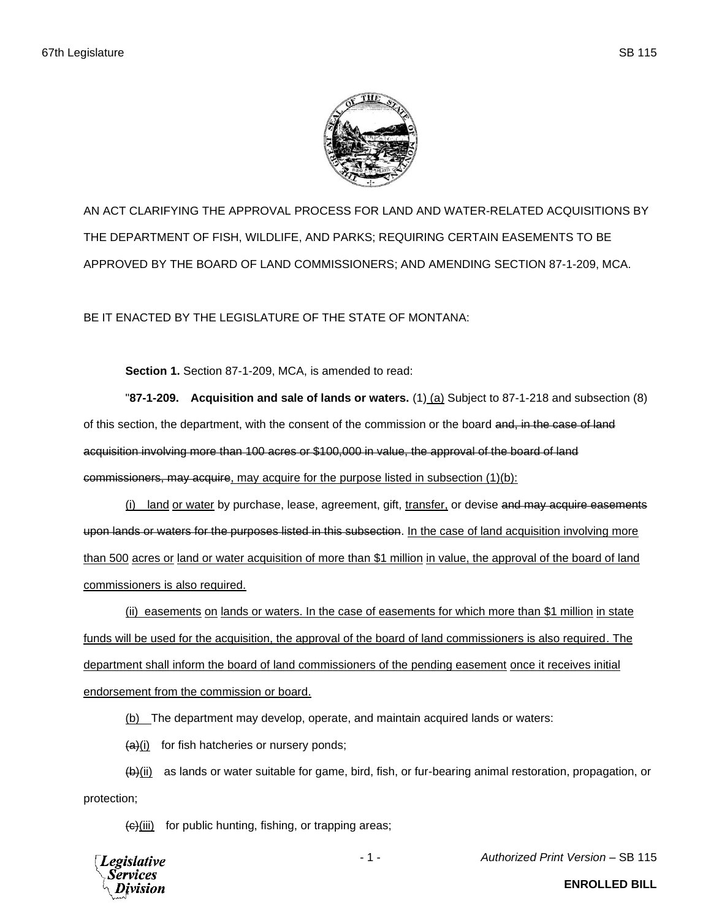

AN ACT CLARIFYING THE APPROVAL PROCESS FOR LAND AND WATER-RELATED ACQUISITIONS BY THE DEPARTMENT OF FISH, WILDLIFE, AND PARKS; REQUIRING CERTAIN EASEMENTS TO BE APPROVED BY THE BOARD OF LAND COMMISSIONERS; AND AMENDING SECTION 87-1-209, MCA.

BE IT ENACTED BY THE LEGISLATURE OF THE STATE OF MONTANA:

**Section 1.** Section 87-1-209, MCA, is amended to read:

"**87-1-209. Acquisition and sale of lands or waters.** (1) (a) Subject to 87-1-218 and subsection (8) of this section, the department, with the consent of the commission or the board and, in the case of land acquisition involving more than 100 acres or \$100,000 in value, the approval of the board of land commissioners, may acquire, may acquire for the purpose listed in subsection (1)(b):

(i) land or water by purchase, lease, agreement, gift, transfer, or devise and may acquire easements upon lands or waters for the purposes listed in this subsection. In the case of land acquisition involving more than 500 acres or land or water acquisition of more than \$1 million in value, the approval of the board of land commissioners is also required.

(ii) easements on lands or waters. In the case of easements for which more than \$1 million in state funds will be used for the acquisition, the approval of the board of land commissioners is also required. The department shall inform the board of land commissioners of the pending easement once it receives initial endorsement from the commission or board.

(b) The department may develop, operate, and maintain acquired lands or waters:

 $(a)(i)$  for fish hatcheries or nursery ponds;

(b)(ii) as lands or water suitable for game, bird, fish, or fur-bearing animal restoration, propagation, or protection;

 $\left\langle \Theta \right\rangle$ (iii) for public hunting, fishing, or trapping areas;



- 1 - *Authorized Print Version* – SB 115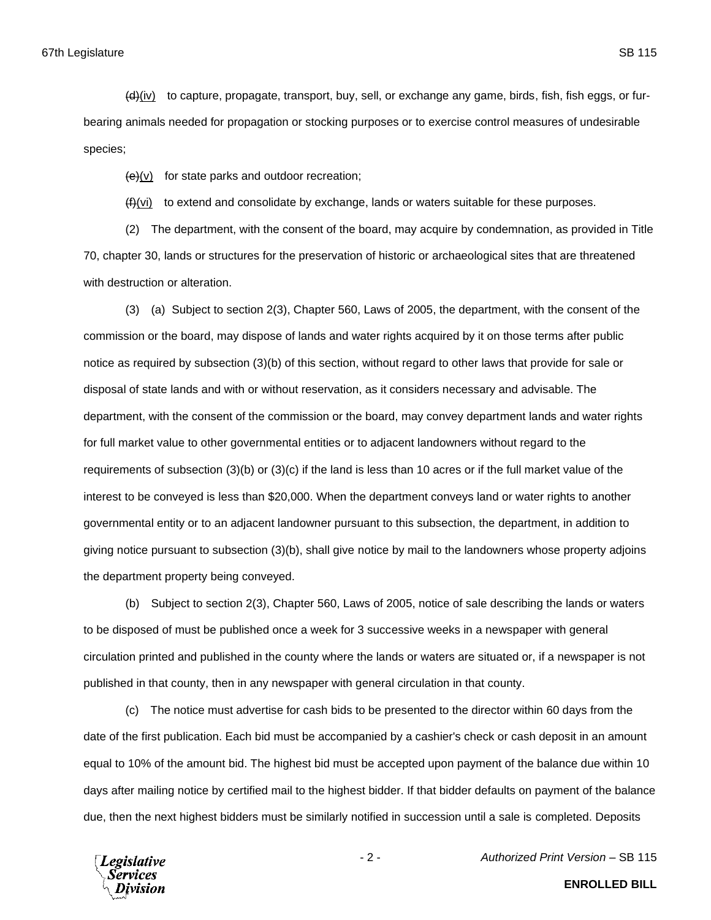(d)(iv) to capture, propagate, transport, buy, sell, or exchange any game, birds, fish, fish eggs, or furbearing animals needed for propagation or stocking purposes or to exercise control measures of undesirable species;

 $\left(\frac{e}{e}\right)$  for state parks and outdoor recreation;

 $(f)(vi)$  to extend and consolidate by exchange, lands or waters suitable for these purposes.

(2) The department, with the consent of the board, may acquire by condemnation, as provided in Title 70, chapter 30, lands or structures for the preservation of historic or archaeological sites that are threatened with destruction or alteration.

(3) (a) Subject to section 2(3), Chapter 560, Laws of 2005, the department, with the consent of the commission or the board, may dispose of lands and water rights acquired by it on those terms after public notice as required by subsection (3)(b) of this section, without regard to other laws that provide for sale or disposal of state lands and with or without reservation, as it considers necessary and advisable. The department, with the consent of the commission or the board, may convey department lands and water rights for full market value to other governmental entities or to adjacent landowners without regard to the requirements of subsection (3)(b) or (3)(c) if the land is less than 10 acres or if the full market value of the interest to be conveyed is less than \$20,000. When the department conveys land or water rights to another governmental entity or to an adjacent landowner pursuant to this subsection, the department, in addition to giving notice pursuant to subsection (3)(b), shall give notice by mail to the landowners whose property adjoins the department property being conveyed.

(b) Subject to section 2(3), Chapter 560, Laws of 2005, notice of sale describing the lands or waters to be disposed of must be published once a week for 3 successive weeks in a newspaper with general circulation printed and published in the county where the lands or waters are situated or, if a newspaper is not published in that county, then in any newspaper with general circulation in that county.

(c) The notice must advertise for cash bids to be presented to the director within 60 days from the date of the first publication. Each bid must be accompanied by a cashier's check or cash deposit in an amount equal to 10% of the amount bid. The highest bid must be accepted upon payment of the balance due within 10 days after mailing notice by certified mail to the highest bidder. If that bidder defaults on payment of the balance due, then the next highest bidders must be similarly notified in succession until a sale is completed. Deposits

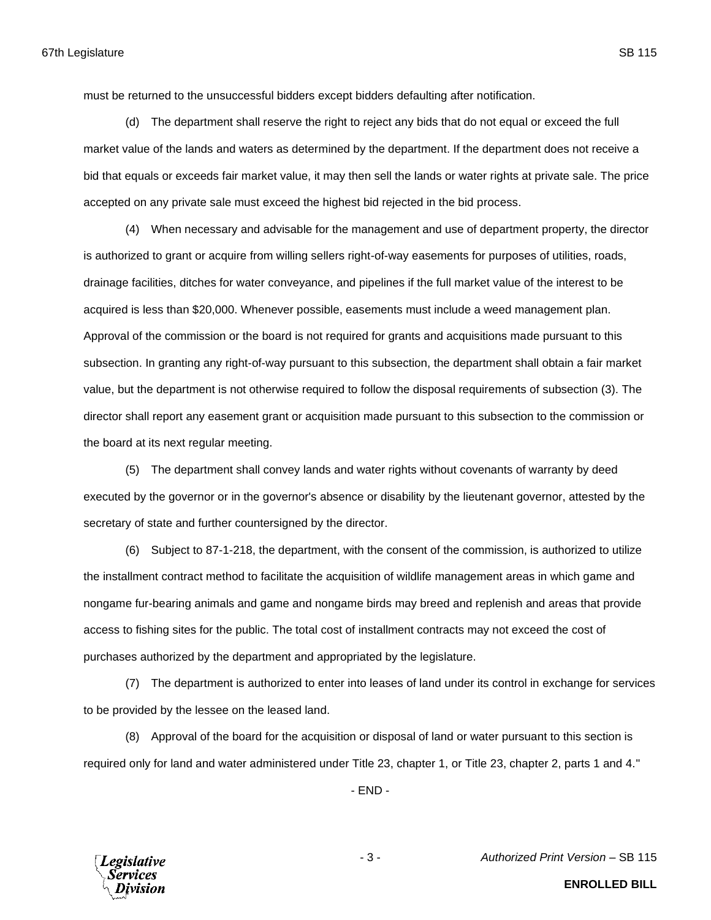must be returned to the unsuccessful bidders except bidders defaulting after notification.

(d) The department shall reserve the right to reject any bids that do not equal or exceed the full market value of the lands and waters as determined by the department. If the department does not receive a bid that equals or exceeds fair market value, it may then sell the lands or water rights at private sale. The price accepted on any private sale must exceed the highest bid rejected in the bid process.

(4) When necessary and advisable for the management and use of department property, the director is authorized to grant or acquire from willing sellers right-of-way easements for purposes of utilities, roads, drainage facilities, ditches for water conveyance, and pipelines if the full market value of the interest to be acquired is less than \$20,000. Whenever possible, easements must include a weed management plan. Approval of the commission or the board is not required for grants and acquisitions made pursuant to this subsection. In granting any right-of-way pursuant to this subsection, the department shall obtain a fair market value, but the department is not otherwise required to follow the disposal requirements of subsection (3). The director shall report any easement grant or acquisition made pursuant to this subsection to the commission or the board at its next regular meeting.

(5) The department shall convey lands and water rights without covenants of warranty by deed executed by the governor or in the governor's absence or disability by the lieutenant governor, attested by the secretary of state and further countersigned by the director.

(6) Subject to 87-1-218, the department, with the consent of the commission, is authorized to utilize the installment contract method to facilitate the acquisition of wildlife management areas in which game and nongame fur-bearing animals and game and nongame birds may breed and replenish and areas that provide access to fishing sites for the public. The total cost of installment contracts may not exceed the cost of purchases authorized by the department and appropriated by the legislature.

(7) The department is authorized to enter into leases of land under its control in exchange for services to be provided by the lessee on the leased land.

(8) Approval of the board for the acquisition or disposal of land or water pursuant to this section is required only for land and water administered under Title 23, chapter 1, or Title 23, chapter 2, parts 1 and 4."

- END -



- 3 - *Authorized Print Version* – SB 115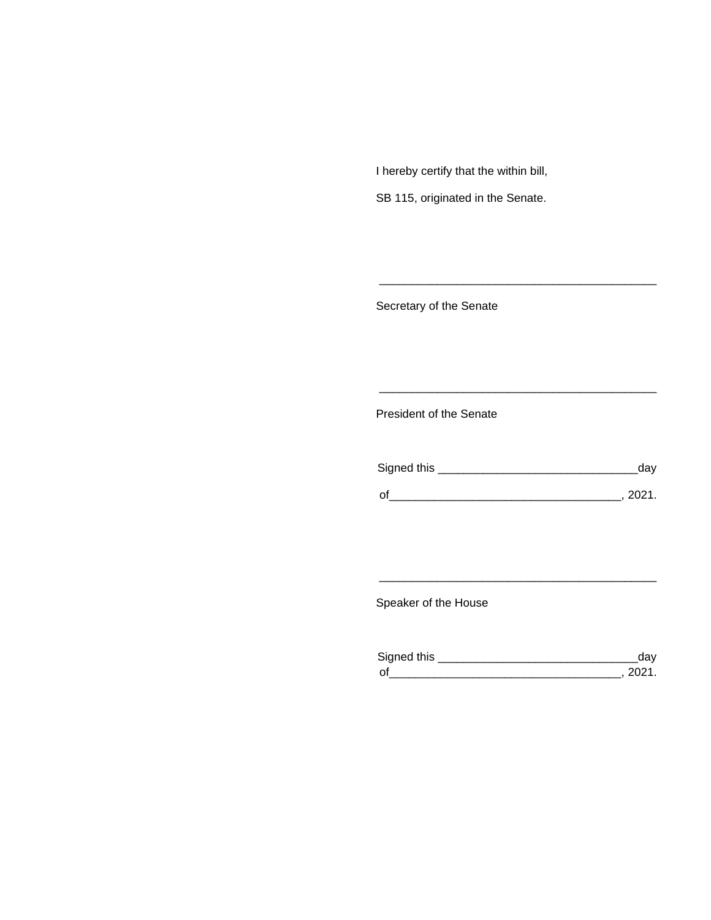I hereby certify that the within bill,

SB 115, originated in the Senate.

Secretary of the Senate

President of the Senate

| Signed this |        |
|-------------|--------|
|             | 111'11 |
| $\Omega$    |        |

\_\_\_\_\_\_\_\_\_\_\_\_\_\_\_\_\_\_\_\_\_\_\_\_\_\_\_\_\_\_\_\_\_\_\_\_\_\_\_\_\_\_\_

\_\_\_\_\_\_\_\_\_\_\_\_\_\_\_\_\_\_\_\_\_\_\_\_\_\_\_\_\_\_\_\_\_\_\_\_\_\_\_\_\_\_\_

Speaker of the House

| Signed this |  |
|-------------|--|
| $\sim$      |  |

\_\_\_\_\_\_\_\_\_\_\_\_\_\_\_\_\_\_\_\_\_\_\_\_\_\_\_\_\_\_\_\_\_\_\_\_\_\_\_\_\_\_\_